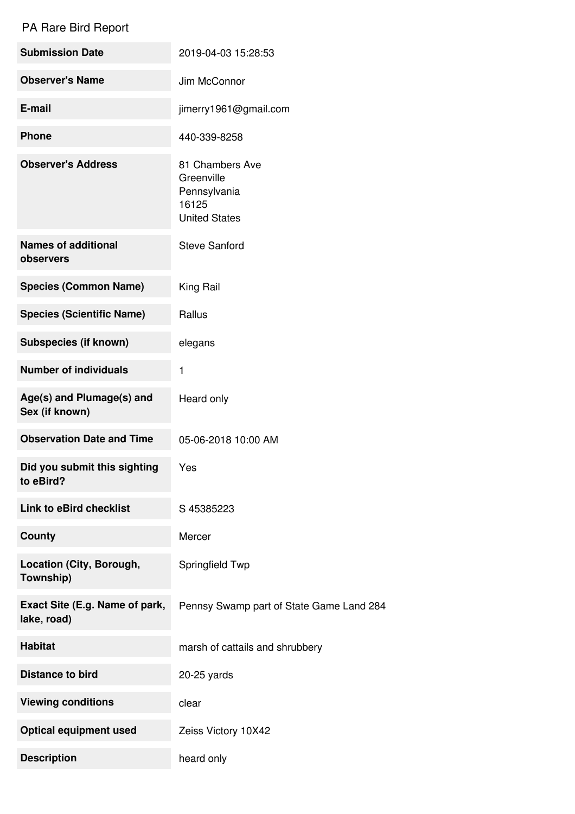## PA Rare Bird Report

| <b>Submission Date</b>                        | 2019-04-03 15:28:53                                                            |
|-----------------------------------------------|--------------------------------------------------------------------------------|
| <b>Observer's Name</b>                        | Jim McConnor                                                                   |
| E-mail                                        | jimerry1961@gmail.com                                                          |
| <b>Phone</b>                                  | 440-339-8258                                                                   |
| <b>Observer's Address</b>                     | 81 Chambers Ave<br>Greenville<br>Pennsylvania<br>16125<br><b>United States</b> |
| <b>Names of additional</b><br>observers       | <b>Steve Sanford</b>                                                           |
| <b>Species (Common Name)</b>                  | King Rail                                                                      |
| <b>Species (Scientific Name)</b>              | Rallus                                                                         |
| <b>Subspecies (if known)</b>                  | elegans                                                                        |
| <b>Number of individuals</b>                  | 1                                                                              |
| Age(s) and Plumage(s) and<br>Sex (if known)   | Heard only                                                                     |
| <b>Observation Date and Time</b>              | 05-06-2018 10:00 AM                                                            |
| Did you submit this sighting<br>to eBird?     | Yes                                                                            |
| <b>Link to eBird checklist</b>                | S 45385223                                                                     |
| <b>County</b>                                 | Mercer                                                                         |
| Location (City, Borough,<br>Township)         | Springfield Twp                                                                |
| Exact Site (E.g. Name of park,<br>lake, road) | Pennsy Swamp part of State Game Land 284                                       |
| <b>Habitat</b>                                | marsh of cattails and shrubbery                                                |
| <b>Distance to bird</b>                       | 20-25 yards                                                                    |
| <b>Viewing conditions</b>                     | clear                                                                          |
| <b>Optical equipment used</b>                 | Zeiss Victory 10X42                                                            |
| <b>Description</b>                            | heard only                                                                     |